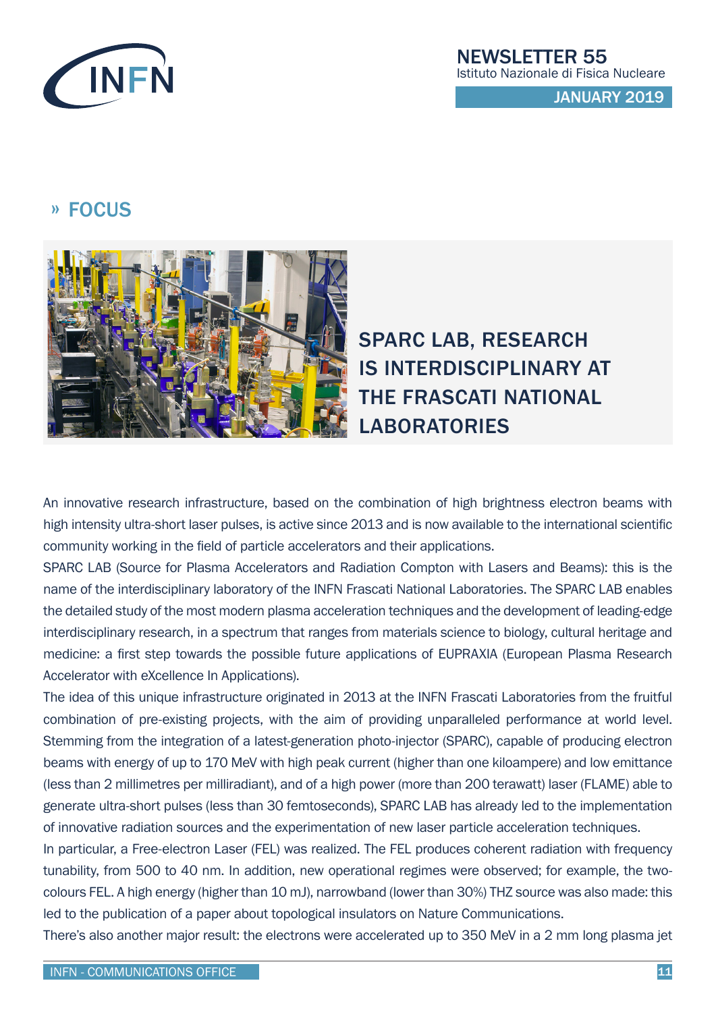

JANUARY 2019

## » FOCUS



## SPARC LAB, RESEARCH IS INTERDISCIPLINARY AT THE FRASCATI NATIONAL LABORATORIES

An innovative research infrastructure, based on the combination of high brightness electron beams with high intensity ultra-short laser pulses, is active since 2013 and is now available to the international scientific community working in the field of particle accelerators and their applications.

SPARC LAB (Source for Plasma Accelerators and Radiation Compton with Lasers and Beams): this is the name of the interdisciplinary laboratory of the INFN Frascati National Laboratories. The SPARC LAB enables the detailed study of the most modern plasma acceleration techniques and the development of leading-edge interdisciplinary research, in a spectrum that ranges from materials science to biology, cultural heritage and medicine: a first step towards the possible future applications of EUPRAXIA (European Plasma Research Accelerator with eXcellence In Applications).

The idea of this unique infrastructure originated in 2013 at the INFN Frascati Laboratories from the fruitful combination of pre-existing projects, with the aim of providing unparalleled performance at world level. Stemming from the integration of a latest-generation photo-injector (SPARC), capable of producing electron beams with energy of up to 170 MeV with high peak current (higher than one kiloampere) and low emittance (less than 2 millimetres per milliradiant), and of a high power (more than 200 terawatt) laser (FLAME) able to generate ultra-short pulses (less than 30 femtoseconds), SPARC LAB has already led to the implementation of innovative radiation sources and the experimentation of new laser particle acceleration techniques.

In particular, a Free-electron Laser (FEL) was realized. The FEL produces coherent radiation with frequency tunability, from 500 to 40 nm. In addition, new operational regimes were observed; for example, the twocolours FEL. A high energy (higher than 10 mJ), narrowband (lower than 30%) THZ source was also made: this led to the publication of a paper about topological insulators on Nature Communications.

There's also another major result: the electrons were accelerated up to 350 MeV in a 2 mm long plasma jet